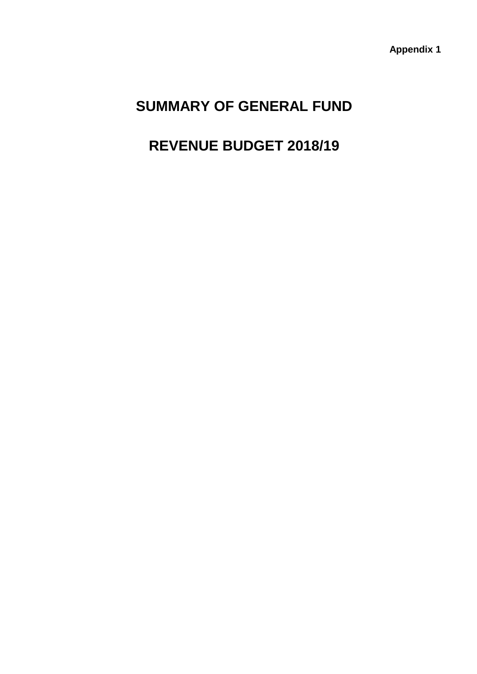# **SUMMARY OF GENERAL FUND**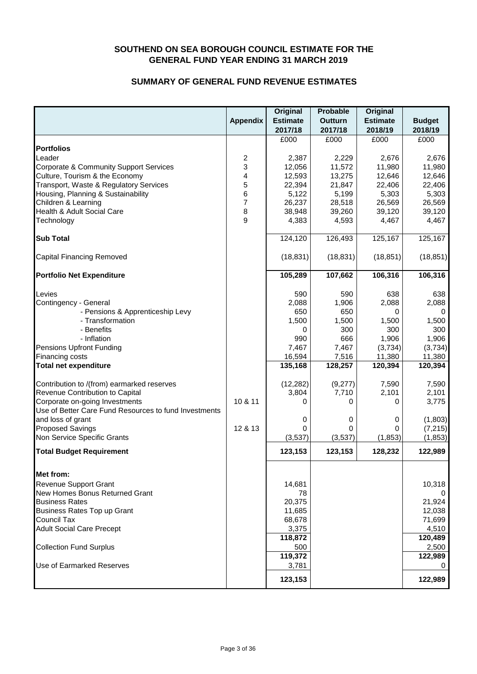#### **SOUTHEND ON SEA BOROUGH COUNCIL ESTIMATE FOR THE GENERAL FUND YEAR ENDING 31 MARCH 2019**

#### **SUMMARY OF GENERAL FUND REVENUE ESTIMATES**

|                                                       |                         | <b>Original</b> | <b>Probable</b> | <b>Original</b> |               |
|-------------------------------------------------------|-------------------------|-----------------|-----------------|-----------------|---------------|
|                                                       | <b>Appendix</b>         | <b>Estimate</b> | <b>Outturn</b>  | <b>Estimate</b> | <b>Budget</b> |
|                                                       |                         | 2017/18         | 2017/18         | 2018/19         | 2018/19       |
|                                                       |                         | £000            | £000            | £000            | £000          |
| <b>Portfolios</b>                                     |                         |                 |                 |                 |               |
| Leader                                                | $\overline{\mathbf{c}}$ | 2,387           | 2,229           | 2,676           | 2,676         |
| <b>Corporate &amp; Community Support Services</b>     | 3                       | 12,056          | 11,572          | 11,980          | 11,980        |
| Culture, Tourism & the Economy                        | 4                       | 12,593          | 13,275          | 12,646          | 12,646        |
| Transport, Waste & Regulatory Services                | 5                       | 22,394          | 21,847          | 22,406          | 22,406        |
| Housing, Planning & Sustainability                    | 6                       | 5,122           | 5,199           | 5,303           | 5,303         |
| Children & Learning                                   | 7                       | 26,237          | 28,518          | 26,569          | 26,569        |
| Health & Adult Social Care                            | 8                       | 38,948          | 39,260          | 39,120          | 39,120        |
| Technology                                            | 9                       | 4,383           | 4,593           | 4,467           | 4,467         |
|                                                       |                         |                 |                 |                 |               |
| <b>Sub Total</b>                                      |                         | 124,120         | 126,493         | 125,167         | 125,167       |
| <b>Capital Financing Removed</b>                      |                         | (18, 831)       | (18, 831)       | (18, 851)       | (18, 851)     |
| <b>Portfolio Net Expenditure</b>                      |                         | 105,289         | 107,662         | 106,316         | 106,316       |
| Levies                                                |                         | 590             | 590             | 638             | 638           |
| Contingency - General                                 |                         | 2,088           | 1,906           | 2,088           | 2,088         |
| - Pensions & Apprenticeship Levy                      |                         | 650             | 650             | 0               | 0             |
| - Transformation                                      |                         | 1,500           | 1,500           | 1,500           | 1,500         |
| - Benefits                                            |                         | 0               | 300             | 300             | 300           |
| - Inflation                                           |                         | 990             | 666             | 1,906           | 1,906         |
| Pensions Upfront Funding                              |                         | 7,467           | 7,467           | (3,734)         | (3,734)       |
| Financing costs                                       |                         | 16,594          | 7,516           | 11,380          | 11,380        |
| <b>Total net expenditure</b>                          |                         | 135,168         | 128,257         | 120,394         | 120,394       |
| Contribution to /(from) earmarked reserves            |                         | (12, 282)       | (9,277)         | 7,590           | 7,590         |
| Revenue Contribution to Capital                       |                         | 3,804           | 7,710           | 2,101           | 2,101         |
| Corporate on-going Investments                        | 10 & 11                 | 0               | 0               | 0               | 3,775         |
| Use of Better Care Fund Resources to fund Investments |                         |                 |                 |                 |               |
| and loss of grant                                     |                         | 0               | 0               | 0               | (1,803)       |
| <b>Proposed Savings</b>                               | 12 & 13                 | 0               | 0               | 0               | (7, 215)      |
| Non Service Specific Grants                           |                         | (3,537)         | (3,537)         | (1, 853)        | (1, 853)      |
| <b>Total Budget Requirement</b>                       |                         | 123,153         | 123,153         | 128,232         | 122,989       |
| Met from:                                             |                         |                 |                 |                 |               |
| <b>Revenue Support Grant</b>                          |                         | 14,681          |                 |                 | 10,318        |
| New Homes Bonus Returned Grant                        |                         | 78              |                 |                 | 0             |
| <b>Business Rates</b>                                 |                         | 20,375          |                 |                 | 21,924        |
| Business Rates Top up Grant                           |                         | 11,685          |                 |                 | 12,038        |
| <b>Council Tax</b>                                    |                         | 68,678          |                 |                 | 71,699        |
| <b>Adult Social Care Precept</b>                      |                         | 3,375           |                 |                 | 4,510         |
|                                                       |                         | 118,872         |                 |                 | 120,489       |
| <b>Collection Fund Surplus</b>                        |                         | 500             |                 |                 | 2,500         |
|                                                       |                         | 119,372         |                 |                 | 122,989       |
| Use of Earmarked Reserves                             |                         | 3,781           |                 |                 | 0             |
|                                                       |                         | 123,153         |                 |                 | 122,989       |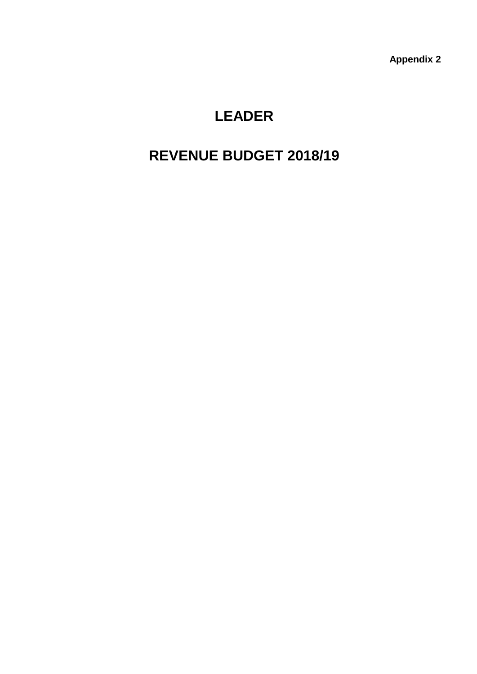# **LEADER**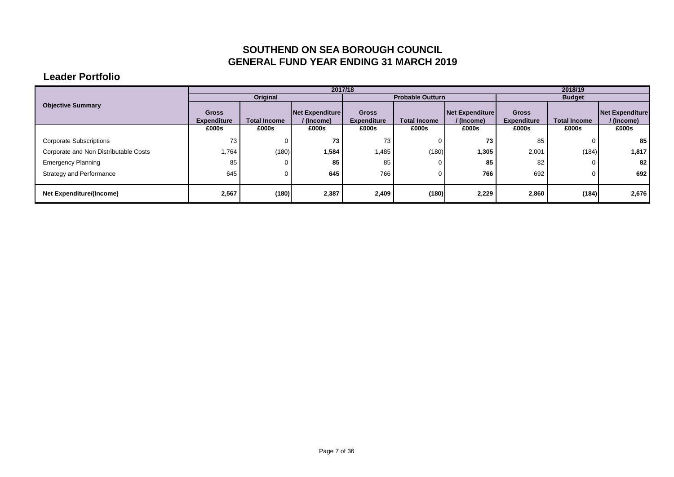#### **Leader Portfolio**

|                                       |                                    |                     |                               | 2017/18                            |                         |                               | 2018/19                            |                     |                               |  |
|---------------------------------------|------------------------------------|---------------------|-------------------------------|------------------------------------|-------------------------|-------------------------------|------------------------------------|---------------------|-------------------------------|--|
|                                       |                                    | Original            |                               |                                    | <b>Probable Outturn</b> |                               |                                    | <b>Budget</b>       |                               |  |
| <b>Objective Summary</b>              | <b>Gross</b><br><b>Expenditure</b> | <b>Total Income</b> | Net Expenditure<br>/ (Income) | <b>Gross</b><br><b>Expenditure</b> | <b>Total Income</b>     | Net Expenditure<br>/ (Income) | <b>Gross</b><br><b>Expenditure</b> | <b>Total Income</b> | Net Expenditure<br>/ (Income) |  |
|                                       | £000s                              | £000s               | £000s                         | £000s                              | £000s                   | £000s                         | £000s                              | £000s               | £000s                         |  |
| <b>Corporate Subscriptions</b>        | 73                                 | 0                   | 73                            | 73                                 |                         | 73                            | 85                                 |                     | 85                            |  |
| Corporate and Non Distributable Costs | 1,764                              | (180)               | 1,584                         | 1,485                              | (180)                   | 1,305                         | 2,001                              | (184)               | 1,817                         |  |
| <b>Emergency Planning</b>             | 85                                 | 0                   | 85                            | 85                                 |                         | 85                            | 82                                 |                     | 82                            |  |
| <b>Strategy and Performance</b>       | 645                                | 0                   | 645                           | 766                                |                         | 766                           | 692                                |                     | 692                           |  |
|                                       |                                    |                     |                               |                                    |                         |                               |                                    |                     |                               |  |
| Net Expenditure/(Income)              | 2,567                              | (180)               | 2,387                         | 2,409                              | (180)                   | 2,229                         | 2,860                              | (184)               | 2,676                         |  |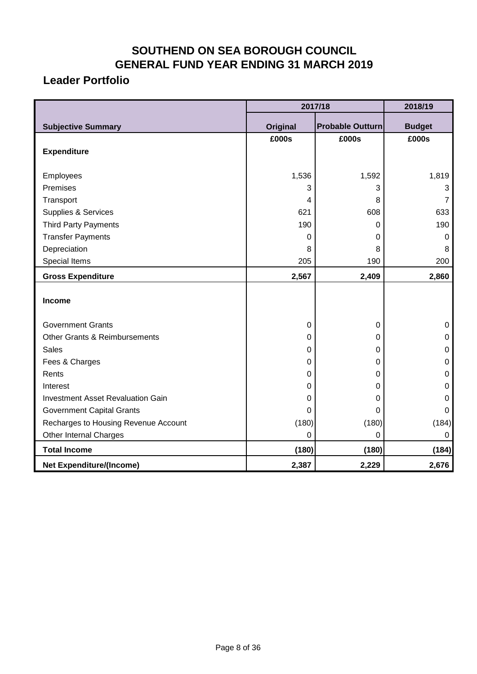## **Leader Portfolio**

|                                          |             | 2017/18                 | 2018/19       |
|------------------------------------------|-------------|-------------------------|---------------|
| <b>Subjective Summary</b>                | Original    | <b>Probable Outturn</b> | <b>Budget</b> |
|                                          | £000s       | £000s                   | £000s         |
| <b>Expenditure</b>                       |             |                         |               |
|                                          |             |                         |               |
| Employees                                | 1,536       | 1,592                   | 1,819         |
| Premises                                 | 3           | 3                       | 3             |
| Transport                                | 4           | 8                       | 7             |
| <b>Supplies &amp; Services</b>           | 621         | 608                     | 633           |
| <b>Third Party Payments</b>              | 190         | 0                       | 190           |
| <b>Transfer Payments</b>                 | 0           | 0                       | $\mathbf 0$   |
| Depreciation                             | 8           | 8                       | 8             |
| Special Items                            | 205         | 190                     | 200           |
| <b>Gross Expenditure</b>                 | 2,567       | 2,409                   | 2,860         |
|                                          |             |                         |               |
| Income                                   |             |                         |               |
| <b>Government Grants</b>                 | $\mathbf 0$ | 0                       | $\mathbf 0$   |
| Other Grants & Reimbursements            | 0           | 0                       | $\pmb{0}$     |
| <b>Sales</b>                             | 0           | 0                       | 0             |
| Fees & Charges                           | 0           | 0                       | $\mathbf 0$   |
| Rents                                    | 0           | 0                       | 0             |
| Interest                                 | 0           | 0                       | 0             |
| <b>Investment Asset Revaluation Gain</b> | $\mathbf 0$ | 0                       | 0             |
| <b>Government Capital Grants</b>         | 0           | 0                       | $\mathbf 0$   |
| Recharges to Housing Revenue Account     | (180)       | (180)                   | (184)         |
| Other Internal Charges                   | $\mathbf 0$ | 0                       | $\mathbf 0$   |
| <b>Total Income</b>                      | (180)       | (180)                   | (184)         |
| <b>Net Expenditure/(Income)</b>          | 2,387       | 2,229                   | 2,676         |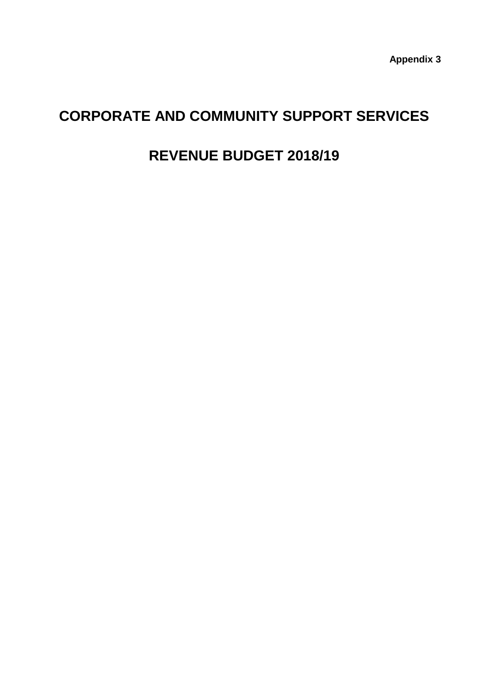# **CORPORATE AND COMMUNITY SUPPORT SERVICES**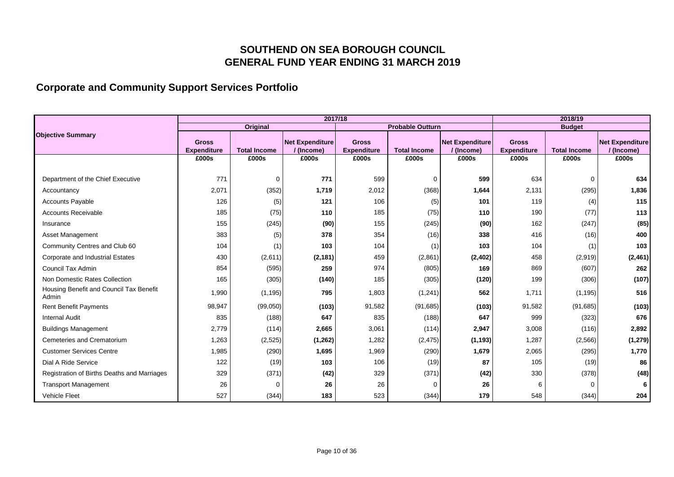## **Corporate and Community Support Services Portfolio**

|                                                  |                    |                     | 2017/18                |                    |                         |                        |                    | 2018/19             |                        |  |
|--------------------------------------------------|--------------------|---------------------|------------------------|--------------------|-------------------------|------------------------|--------------------|---------------------|------------------------|--|
|                                                  |                    | Original            |                        |                    | <b>Probable Outturn</b> |                        |                    | <b>Budget</b>       |                        |  |
| <b>Objective Summary</b>                         | <b>Gross</b>       |                     | <b>Net Expenditure</b> | <b>Gross</b>       |                         | <b>Net Expenditure</b> | <b>Gross</b>       |                     | <b>Net Expenditure</b> |  |
|                                                  | <b>Expenditure</b> | <b>Total Income</b> | / (Income)             | <b>Expenditure</b> | <b>Total Income</b>     | / (Income)             | <b>Expenditure</b> | <b>Total Income</b> | / (Income)             |  |
|                                                  | £000s              | £000s               | £000s                  | £000s              | £000s                   | £000s                  | £000s              | £000s               | £000s                  |  |
|                                                  |                    |                     |                        |                    |                         |                        |                    |                     |                        |  |
| Department of the Chief Executive                | 771                | 0                   | 771                    | 599                | 0                       | 599                    | 634                | $\Omega$            | 634                    |  |
| Accountancy                                      | 2,071              | (352)               | 1,719                  | 2,012              | (368)                   | 1,644                  | 2,131              | (295)               | 1,836                  |  |
| <b>Accounts Payable</b>                          | 126                | (5)                 | 121                    | 106                | (5)                     | 101                    | 119                | (4)                 | 115                    |  |
| <b>Accounts Receivable</b>                       | 185                | (75)                | 110                    | 185                | (75)                    | 110                    | 190                | (77)                | 113                    |  |
| Insurance                                        | 155                | (245)               | (90)                   | 155                | (245)                   | (90)                   | 162                | (247)               | (85)                   |  |
| <b>Asset Management</b>                          | 383                | (5)                 | 378                    | 354                | (16)                    | 338                    | 416                | (16)                | 400                    |  |
| Community Centres and Club 60                    | 104                | (1)                 | 103                    | 104                | (1)                     | 103                    | 104                | (1)                 | 103                    |  |
| Corporate and Industrial Estates                 | 430                | (2,611)             | (2, 181)               | 459                | (2,861)                 | (2, 402)               | 458                | (2,919)             | (2, 461)               |  |
| Council Tax Admin                                | 854                | (595)               | 259                    | 974                | (805)                   | 169                    | 869                | (607)               | 262                    |  |
| Non Domestic Rates Collection                    | 165                | (305)               | (140)                  | 185                | (305)                   | (120)                  | 199                | (306)               | (107)                  |  |
| Housing Benefit and Council Tax Benefit<br>Admin | 1,990              | (1, 195)            | 795                    | 1,803              | (1, 241)                | 562                    | 1,711              | (1, 195)            | 516                    |  |
| <b>Rent Benefit Payments</b>                     | 98,947             | (99,050)            | (103)                  | 91,582             | (91, 685)               | (103)                  | 91,582             | (91, 685)           | (103)                  |  |
| <b>Internal Audit</b>                            | 835                | (188)               | 647                    | 835                | (188)                   | 647                    | 999                | (323)               | 676                    |  |
| <b>Buildings Management</b>                      | 2,779              | (114)               | 2,665                  | 3,061              | (114)                   | 2,947                  | 3,008              | (116)               | 2,892                  |  |
| Cemeteries and Crematorium                       | 1,263              | (2, 525)            | (1, 262)               | 1,282              | (2, 475)                | (1, 193)               | 1,287              | (2, 566)            | (1, 279)               |  |
| <b>Customer Services Centre</b>                  | 1,985              | (290)               | 1,695                  | 1,969              | (290)                   | 1,679                  | 2,065              | (295)               | 1,770                  |  |
| Dial A Ride Service                              | 122                | (19)                | 103                    | 106                | (19)                    | 87                     | 105                | (19)                | 86                     |  |
| Registration of Births Deaths and Marriages      | 329                | (371)               | (42)                   | 329                | (371)                   | (42)                   | 330                | (378)               | (48)                   |  |
| <b>Transport Management</b>                      | 26                 | 0                   | 26                     | 26                 | 0                       | 26                     | 6                  | $\Omega$            | 6                      |  |
| <b>Vehicle Fleet</b>                             | 527                | (344)               | 183                    | 523                | (344)                   | 179                    | 548                | (344)               | 204                    |  |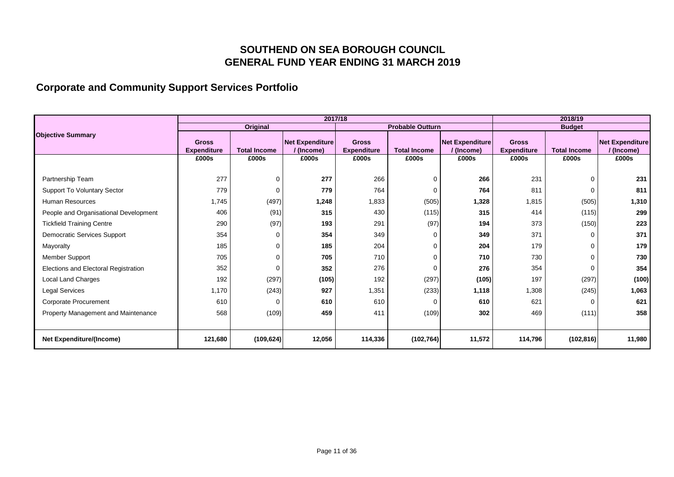## **Corporate and Community Support Services Portfolio**

|                                       |                                    |                     |                                    | 2017/18                            |                         |                                     |                                    | 2018/19             |                                      |  |
|---------------------------------------|------------------------------------|---------------------|------------------------------------|------------------------------------|-------------------------|-------------------------------------|------------------------------------|---------------------|--------------------------------------|--|
|                                       |                                    | Original            |                                    |                                    | <b>Probable Outturn</b> |                                     |                                    | <b>Budget</b>       |                                      |  |
| <b>Objective Summary</b>              | <b>Gross</b><br><b>Expenditure</b> | <b>Total Income</b> | <b>Net Expenditure</b><br>(Income) | <b>Gross</b><br><b>Expenditure</b> | <b>Total Income</b>     | <b>Net Expenditure</b><br>/(Income) | <b>Gross</b><br><b>Expenditure</b> | <b>Total Income</b> | <b>Net Expenditure</b><br>/ (Income) |  |
|                                       | £000s                              | £000s               | £000s                              | £000s                              | £000s                   | £000s                               | £000s                              | £000s               | £000s                                |  |
|                                       |                                    |                     |                                    |                                    |                         |                                     |                                    |                     |                                      |  |
| Partnership Team                      | 277                                |                     | 277                                | 266                                | $\mathbf 0$             | 266                                 | 231                                | $\Omega$            | 231                                  |  |
| <b>Support To Voluntary Sector</b>    | 779                                |                     | 779                                | 764                                | 0                       | 764                                 | 811                                |                     | 811                                  |  |
| <b>Human Resources</b>                | 1,745                              | (497)               | 1,248                              | 1,833                              | (505)                   | 1,328                               | 1,815                              | (505)               | 1,310                                |  |
| People and Organisational Development | 406                                | (91)                | 315                                | 430                                | (115)                   | 315                                 | 414                                | (115)               | 299                                  |  |
| <b>Tickfield Training Centre</b>      | 290                                | (97)                | 193                                | 291                                | (97)                    | 194                                 | 373                                | (150)               | 223                                  |  |
| <b>Democratic Services Support</b>    | 354                                |                     | 354                                | 349                                | 0                       | 349                                 | 371                                | ∩                   | 371                                  |  |
| Mayoralty                             | 185                                |                     | 185                                | 204                                | 0                       | 204                                 | 179                                | $\Omega$            | 179                                  |  |
| Member Support                        | 705                                |                     | 705                                | 710                                | $\mathbf 0$             | 710                                 | 730                                | 0                   | 730                                  |  |
| Elections and Electoral Registration  | 352                                |                     | 352                                | 276                                | $\Omega$                | 276                                 | 354                                |                     | 354                                  |  |
| Local Land Charges                    | 192                                | (297)               | (105)                              | 192                                | (297)                   | (105)                               | 197                                | (297)               | (100)                                |  |
| <b>Legal Services</b>                 | 1,170                              | (243)               | 927                                | 1,351                              | (233)                   | 1,118                               | 1,308                              | (245)               | 1,063                                |  |
| <b>Corporate Procurement</b>          | 610                                |                     | 610                                | 610                                | $\Omega$                | 610                                 | 621                                |                     | 621                                  |  |
| Property Management and Maintenance   | 568                                | (109)               | 459                                | 411                                | (109)                   | 302                                 | 469                                | (111)               | 358                                  |  |
|                                       |                                    |                     |                                    |                                    |                         |                                     |                                    |                     |                                      |  |
| <b>Net Expenditure/(Income)</b>       | 121,680                            | (109, 624)          | 12,056                             | 114,336                            | (102, 764)              | 11,572                              | 114,796                            | (102, 816)          | 11,980                               |  |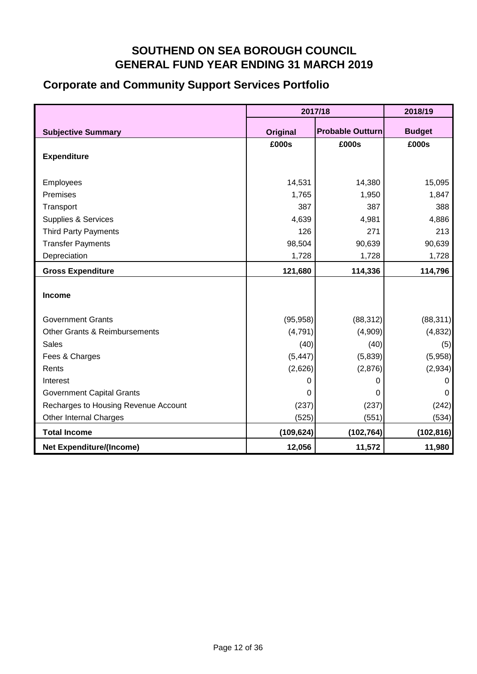## **Corporate and Community Support Services Portfolio**

|                                      |                 | 2017/18                 | 2018/19       |
|--------------------------------------|-----------------|-------------------------|---------------|
| <b>Subjective Summary</b>            | <b>Original</b> | <b>Probable Outturn</b> | <b>Budget</b> |
|                                      | £000s           | £000s                   | £000s         |
| <b>Expenditure</b>                   |                 |                         |               |
| Employees                            | 14,531          | 14,380                  | 15,095        |
| Premises                             | 1,765           | 1,950                   | 1,847         |
| Transport                            | 387             | 387                     | 388           |
| Supplies & Services                  | 4,639           | 4,981                   | 4,886         |
| <b>Third Party Payments</b>          | 126             | 271                     | 213           |
| <b>Transfer Payments</b>             | 98,504          | 90,639                  | 90,639        |
| Depreciation                         | 1,728           | 1,728                   | 1,728         |
| <b>Gross Expenditure</b>             | 121,680         | 114,336                 | 114,796       |
|                                      |                 |                         |               |
| <b>Income</b>                        |                 |                         |               |
| <b>Government Grants</b>             | (95, 958)       | (88, 312)               | (88, 311)     |
| Other Grants & Reimbursements        | (4, 791)        | (4,909)                 | (4, 832)      |
| <b>Sales</b>                         | (40)            | (40)                    | (5)           |
| Fees & Charges                       | (5, 447)        | (5,839)                 | (5,958)       |
| Rents                                | (2,626)         | (2,876)                 | (2,934)       |
| Interest                             | 0               | 0                       | 0             |
| <b>Government Capital Grants</b>     | 0               | 0                       | $\Omega$      |
| Recharges to Housing Revenue Account | (237)           | (237)                   | (242)         |
| Other Internal Charges               | (525)           | (551)                   | (534)         |
| <b>Total Income</b>                  | (109, 624)      | (102, 764)              | (102, 816)    |
| <b>Net Expenditure/(Income)</b>      | 12,056          | 11,572                  | 11,980        |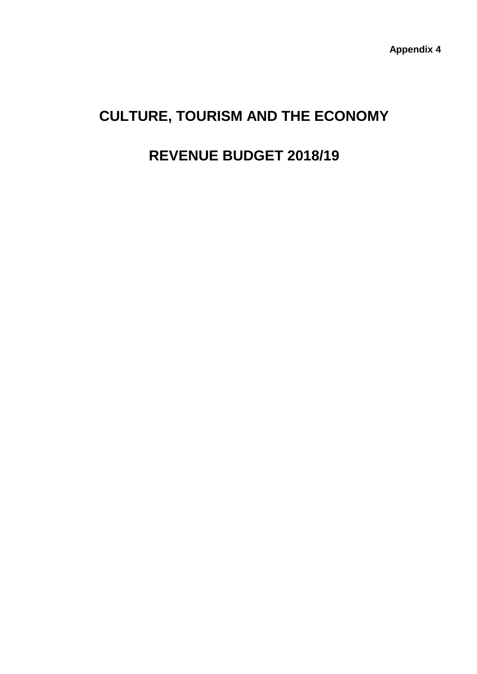# **CULTURE, TOURISM AND THE ECONOMY**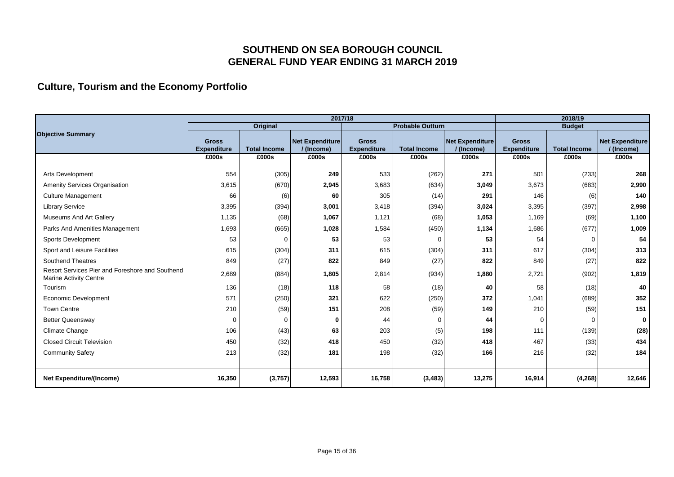### **Culture, Tourism and the Economy Portfolio**

|                                                                                  |                                    |                     | 2017/18                       |                                    |                         |                                      |                                    | 2018/19             |                               |
|----------------------------------------------------------------------------------|------------------------------------|---------------------|-------------------------------|------------------------------------|-------------------------|--------------------------------------|------------------------------------|---------------------|-------------------------------|
|                                                                                  |                                    | Original            |                               |                                    | <b>Probable Outturn</b> |                                      |                                    | <b>Budget</b>       |                               |
| <b>Objective Summary</b>                                                         | <b>Gross</b><br><b>Expenditure</b> | <b>Total Income</b> | Net Expenditure<br>/ (Income) | <b>Gross</b><br><b>Expenditure</b> | <b>Total Income</b>     | <b>Net Expenditure</b><br>/ (Income) | <b>Gross</b><br><b>Expenditure</b> | <b>Total Income</b> | Net Expenditure<br>/ (Income) |
|                                                                                  | £000s                              | £000s               | £000s                         | £000s                              | £000s                   | £000s                                | £000s                              | £000s               | £000s                         |
| <b>Arts Development</b>                                                          | 554                                | (305)               | 249                           | 533                                | (262)                   | 271                                  | 501                                | (233)               | 268                           |
| <b>Amenity Services Organisation</b>                                             | 3,615                              | (670)               | 2,945                         | 3,683                              | (634)                   | 3,049                                | 3,673                              | (683)               | 2,990                         |
| <b>Culture Management</b>                                                        | 66                                 | (6)                 | 60                            | 305                                | (14)                    | 291                                  | 146                                | (6)                 | 140                           |
| <b>Library Service</b>                                                           | 3,395                              | (394)               | 3,001                         | 3,418                              | (394)                   | 3,024                                | 3,395                              | (397)               | 2,998                         |
| <b>Museums And Art Gallery</b>                                                   | 1,135                              | (68)                | 1,067                         | 1,121                              | (68)                    | 1,053                                | 1,169                              | (69)                | 1,100                         |
| Parks And Amenities Management                                                   | 1,693                              | (665)               | 1,028                         | 1,584                              | (450)                   | 1,134                                | 1,686                              | (677)               | 1,009                         |
| Sports Development                                                               | 53                                 | 0                   | 53                            | 53                                 | $\Omega$                | 53                                   | 54                                 | $\Omega$            | 54                            |
| Sport and Leisure Facilities                                                     | 615                                | (304)               | 311                           | 615                                | (304)                   | 311                                  | 617                                | (304)               | 313                           |
| <b>Southend Theatres</b>                                                         | 849                                | (27)                | 822                           | 849                                | (27)                    | 822                                  | 849                                | (27)                | 822                           |
| Resort Services Pier and Foreshore and Southend<br><b>Marine Activity Centre</b> | 2,689                              | (884)               | 1,805                         | 2,814                              | (934)                   | 1,880                                | 2,721                              | (902)               | 1,819                         |
| Tourism                                                                          | 136                                | (18)                | 118                           | 58                                 | (18)                    | 40                                   | 58                                 | (18)                | 40                            |
| Economic Development                                                             | 571                                | (250)               | 321                           | 622                                | (250)                   | 372                                  | 1,041                              | (689)               | 352                           |
| <b>Town Centre</b>                                                               | 210                                | (59)                | 151                           | 208                                | (59)                    | 149                                  | 210                                | (59)                | 151                           |
| <b>Better Queensway</b>                                                          | $\mathbf 0$                        | 0                   | 0                             | 44                                 | $\mathbf 0$             | 44                                   | $\Omega$                           | $\Omega$            | $\mathbf{0}$                  |
| <b>Climate Change</b>                                                            | 106                                | (43)                | 63                            | 203                                | (5)                     | 198                                  | 111                                | (139)               | (28)                          |
| <b>Closed Circuit Television</b>                                                 | 450                                | (32)                | 418                           | 450                                | (32)                    | 418                                  | 467                                | (33)                | 434                           |
| <b>Community Safety</b>                                                          | 213                                | (32)                | 181                           | 198                                | (32)                    | 166                                  | 216                                | (32)                | 184                           |
|                                                                                  |                                    |                     |                               |                                    |                         |                                      |                                    |                     |                               |
| <b>Net Expenditure/(Income)</b>                                                  | 16,350                             | (3,757)             | 12,593                        | 16,758                             | (3, 483)                | 13,275                               | 16,914                             | (4, 268)            | 12,646                        |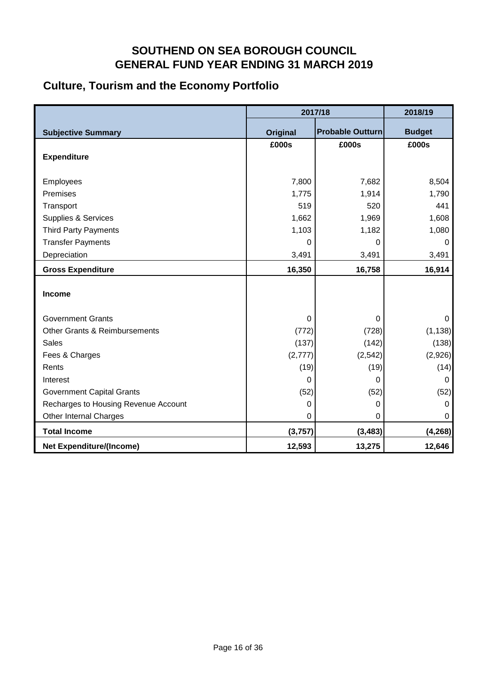## **Culture, Tourism and the Economy Portfolio**

|                                          |                 | 2017/18                 | 2018/19       |
|------------------------------------------|-----------------|-------------------------|---------------|
| <b>Subjective Summary</b>                | <b>Original</b> | <b>Probable Outturn</b> | <b>Budget</b> |
|                                          | £000s           | £000s                   | £000s         |
| <b>Expenditure</b>                       |                 |                         |               |
| Employees                                | 7,800           | 7,682                   | 8,504         |
| Premises                                 | 1,775           | 1,914                   | 1,790         |
| Transport                                | 519             | 520                     | 441           |
| <b>Supplies &amp; Services</b>           | 1,662           | 1,969                   | 1,608         |
| <b>Third Party Payments</b>              | 1,103           | 1,182                   | 1,080         |
| <b>Transfer Payments</b>                 | 0               | 0                       | 0             |
| Depreciation                             | 3,491           | 3,491                   | 3,491         |
| <b>Gross Expenditure</b>                 | 16,350          | 16,758                  | 16,914        |
|                                          |                 |                         |               |
| <b>Income</b>                            |                 |                         |               |
|                                          |                 |                         |               |
| <b>Government Grants</b>                 | 0               | 0                       | $\Omega$      |
| <b>Other Grants &amp; Reimbursements</b> | (772)           | (728)                   | (1, 138)      |
| <b>Sales</b>                             | (137)           | (142)                   | (138)         |
| Fees & Charges                           | (2, 777)        | (2, 542)                | (2,926)       |
| Rents                                    | (19)            | (19)                    | (14)          |
| Interest                                 | 0               | 0                       | 0             |
| <b>Government Capital Grants</b>         | (52)            | (52)                    | (52)          |
| Recharges to Housing Revenue Account     | 0               | 0                       | 0             |
| Other Internal Charges                   | 0               | 0                       | 0             |
| <b>Total Income</b>                      | (3,757)         | (3, 483)                | (4, 268)      |
| <b>Net Expenditure/(Income)</b>          | 12,593          | 13,275                  | 12,646        |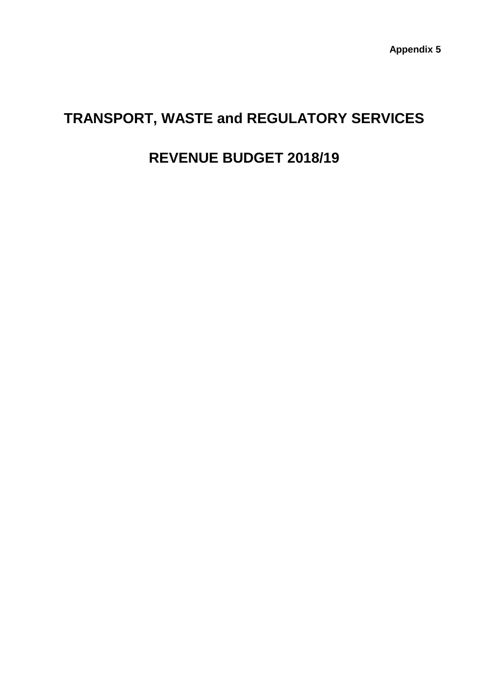# **TRANSPORT, WASTE and REGULATORY SERVICES**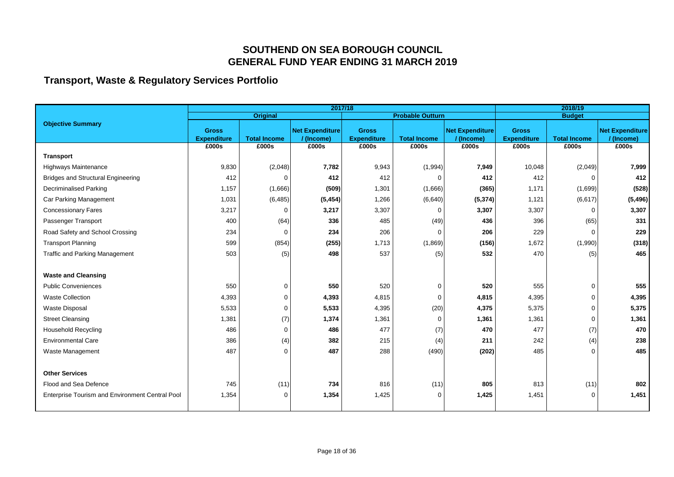### **Transport, Waste & Regulatory Services Portfolio**

|                                                 |                                    |                     | 2017/18                             |                                    |                         |                                      |                                    | 2018/19             |                                      |
|-------------------------------------------------|------------------------------------|---------------------|-------------------------------------|------------------------------------|-------------------------|--------------------------------------|------------------------------------|---------------------|--------------------------------------|
|                                                 |                                    | <b>Original</b>     |                                     |                                    | <b>Probable Outturn</b> |                                      |                                    | <b>Budget</b>       |                                      |
| <b>Objective Summary</b>                        | <b>Gross</b><br><b>Expenditure</b> | <b>Total Income</b> | <b>Net Expenditure</b><br>/(Income) | <b>Gross</b><br><b>Expenditure</b> | <b>Total Income</b>     | <b>Net Expenditure</b><br>/ (Income) | <b>Gross</b><br><b>Expenditure</b> | <b>Total Income</b> | <b>Net Expenditure</b><br>/ (Income) |
|                                                 | £000s                              | £000s               | £000s                               | £000s                              | £000s                   | £000s                                | £000s                              | £000s               | £000s                                |
| <b>Transport</b>                                |                                    |                     |                                     |                                    |                         |                                      |                                    |                     |                                      |
| <b>Highways Maintenance</b>                     | 9,830                              | (2,048)             | 7,782                               | 9,943                              | (1,994)                 | 7,949                                | 10,048                             | (2,049)             | 7,999                                |
| <b>Bridges and Structural Engineering</b>       | 412                                | $\Omega$            | 412                                 | 412                                | $\Omega$                | 412                                  | 412                                | U                   | 412                                  |
| Decriminalised Parking                          | 1,157                              | (1,666)             | (509)                               | 1,301                              | (1,666)                 | (365)                                | 1,171                              | (1,699)             | (528)                                |
| Car Parking Management                          | 1,031                              | (6, 485)            | (5, 454)                            | 1,266                              | (6,640)                 | (5, 374)                             | 1,121                              | (6, 617)            | (5, 496)                             |
| <b>Concessionary Fares</b>                      | 3,217                              | $\Omega$            | 3,217                               | 3,307                              | 0                       | 3,307                                | 3,307                              | 0                   | 3,307                                |
| Passenger Transport                             | 400                                | (64)                | 336                                 | 485                                | (49)                    | 436                                  | 396                                | (65)                | 331                                  |
| Road Safety and School Crossing                 | 234                                | $\Omega$            | 234                                 | 206                                | $\Omega$                | 206                                  | 229                                | $\Omega$            | 229                                  |
| <b>Transport Planning</b>                       | 599                                | (854)               | (255)                               | 1,713                              | (1,869)                 | (156)                                | 1,672                              | (1,990)             | (318)                                |
| <b>Traffic and Parking Management</b>           | 503                                | (5)                 | 498                                 | 537                                | (5)                     | 532                                  | 470                                | (5)                 | 465                                  |
|                                                 |                                    |                     |                                     |                                    |                         |                                      |                                    |                     |                                      |
| <b>Waste and Cleansing</b>                      |                                    |                     |                                     |                                    |                         |                                      |                                    |                     |                                      |
| <b>Public Conveniences</b>                      | 550                                | $\mathbf 0$         | 550                                 | 520                                | $\mathbf 0$             | 520                                  | 555                                | 0                   | 555                                  |
| <b>Waste Collection</b>                         | 4,393                              | $\mathbf 0$         | 4,393                               | 4,815                              | $\Omega$                | 4,815                                | 4,395                              | $\mathbf 0$         | 4,395                                |
| Waste Disposal                                  | 5,533                              | $\mathbf 0$         | 5,533                               | 4,395                              | (20)                    | 4,375                                | 5,375                              | $\mathbf 0$         | 5,375                                |
| <b>Street Cleansing</b>                         | 1,381                              | (7)                 | 1,374                               | 1,361                              | $\mathbf 0$             | 1,361                                | 1,361                              | $\mathbf 0$         | 1,361                                |
| <b>Household Recycling</b>                      | 486                                | $\Omega$            | 486                                 | 477                                | (7)                     | 470                                  | 477                                | (7)                 | 470                                  |
| <b>Environmental Care</b>                       | 386                                | (4)                 | 382                                 | 215                                | (4)                     | 211                                  | 242                                | (4)                 | 238                                  |
| Waste Management                                | 487                                | $\Omega$            | 487                                 | 288                                | (490)                   | (202)                                | 485                                | $\Omega$            | 485                                  |
|                                                 |                                    |                     |                                     |                                    |                         |                                      |                                    |                     |                                      |
| <b>Other Services</b>                           |                                    |                     |                                     |                                    |                         |                                      |                                    |                     |                                      |
| Flood and Sea Defence                           | 745                                | (11)                | 734                                 | 816                                | (11)                    | 805                                  | 813                                | (11)                | 802                                  |
| Enterprise Tourism and Environment Central Pool | 1,354                              | $\Omega$            | 1,354                               | 1,425                              | $\Omega$                | 1,425                                | 1,451                              | $\Omega$            | 1,451                                |
|                                                 |                                    |                     |                                     |                                    |                         |                                      |                                    |                     |                                      |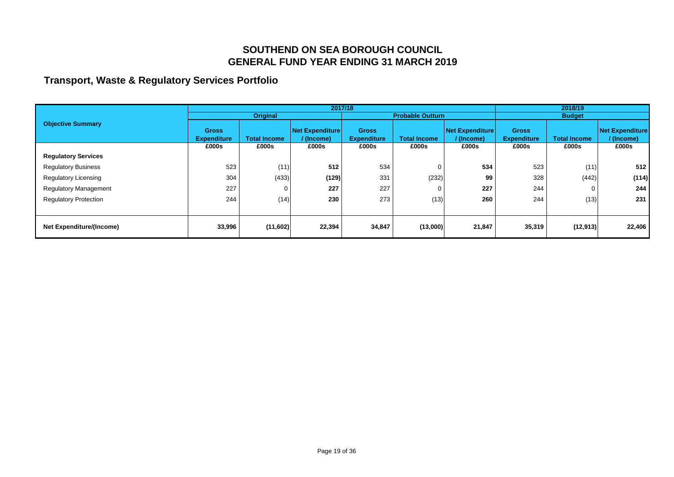## **Transport, Waste & Regulatory Services Portfolio**

|                                 |                                    |                     |                                      | 2017/18                            |                     |                                      |                                    | 2018/19             |                                      |
|---------------------------------|------------------------------------|---------------------|--------------------------------------|------------------------------------|---------------------|--------------------------------------|------------------------------------|---------------------|--------------------------------------|
|                                 | <b>Original</b>                    |                     |                                      | <b>Probable Outturn</b>            |                     |                                      | <b>Budget</b>                      |                     |                                      |
| <b>Objective Summary</b>        | <b>Gross</b><br><b>Expenditure</b> | <b>Total Income</b> | <b>Net Expenditure</b><br>/ (Income) | <b>Gross</b><br><b>Expenditure</b> | <b>Total Income</b> | <b>Net Expenditure</b><br>/ (Income) | <b>Gross</b><br><b>Expenditure</b> | <b>Total Income</b> | <b>Net Expenditure</b><br>/ (Income) |
|                                 | £000s                              | £000s               | £000s                                | £000s                              | £000s               | £000s                                | £000s                              | £000s               | £000s                                |
| <b>Regulatory Services</b>      |                                    |                     |                                      |                                    |                     |                                      |                                    |                     |                                      |
| <b>Regulatory Business</b>      | 523                                | (11)                | 512                                  | 534                                |                     | 534                                  | 523                                | (11)                | 512                                  |
| <b>Regulatory Licensing</b>     | 304                                | (433)               | (129)                                | 331                                | (232)               | 99                                   | 328                                | (442)               | (114)                                |
| <b>Regulatory Management</b>    | 227                                | 0                   | 227                                  | 227                                |                     | 227                                  | 244                                | 0                   | 244                                  |
| <b>Regulatory Protection</b>    | 244                                | (14)                | 230                                  | 273                                | (13)                | 260                                  | 244                                | (13)                | 231                                  |
|                                 |                                    |                     |                                      |                                    |                     |                                      |                                    |                     |                                      |
| <b>Net Expenditure/(Income)</b> | 33,996                             | (11,602)            | 22,394                               | 34,847                             | (13,000)            | 21,847                               | 35,319                             | (12, 913)           | 22,406                               |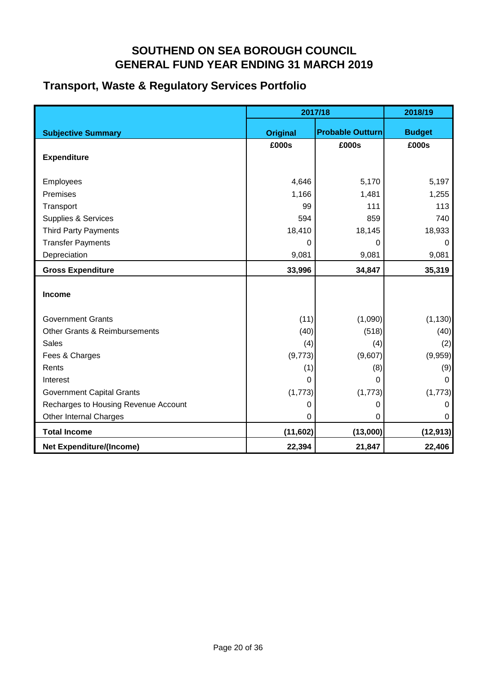## **Transport, Waste & Regulatory Services Portfolio**

|                                          |                 | 2017/18                 | 2018/19       |
|------------------------------------------|-----------------|-------------------------|---------------|
| <b>Subjective Summary</b>                | <b>Original</b> | <b>Probable Outturn</b> | <b>Budget</b> |
|                                          | £000s           | £000s                   | £000s         |
| <b>Expenditure</b>                       |                 |                         |               |
| Employees                                | 4,646           | 5,170                   | 5,197         |
| Premises                                 | 1,166           | 1,481                   | 1,255         |
| Transport                                | 99              | 111                     | 113           |
| <b>Supplies &amp; Services</b>           | 594             | 859                     | 740           |
| <b>Third Party Payments</b>              | 18,410          | 18,145                  | 18,933        |
| <b>Transfer Payments</b>                 | 0               | 0                       | 0             |
| Depreciation                             | 9,081           | 9,081                   | 9,081         |
| <b>Gross Expenditure</b>                 | 33,996          | 34,847                  | 35,319        |
|                                          |                 |                         |               |
| <b>Income</b>                            |                 |                         |               |
| <b>Government Grants</b>                 | (11)            | (1,090)                 | (1, 130)      |
| <b>Other Grants &amp; Reimbursements</b> | (40)            | (518)                   | (40)          |
| <b>Sales</b>                             | (4)             | (4)                     | (2)           |
| Fees & Charges                           | (9,773)         | (9,607)                 | (9,959)       |
| Rents                                    | (1)             | (8)                     | (9)           |
| Interest                                 | 0               | 0                       | 0             |
| <b>Government Capital Grants</b>         | (1,773)         | (1,773)                 | (1,773)       |
| Recharges to Housing Revenue Account     | 0               | 0                       | 0             |
| Other Internal Charges                   | 0               | 0                       | 0             |
| <b>Total Income</b>                      | (11, 602)       | (13,000)                | (12, 913)     |
| <b>Net Expenditure/(Income)</b>          | 22,394          | 21,847                  | 22,406        |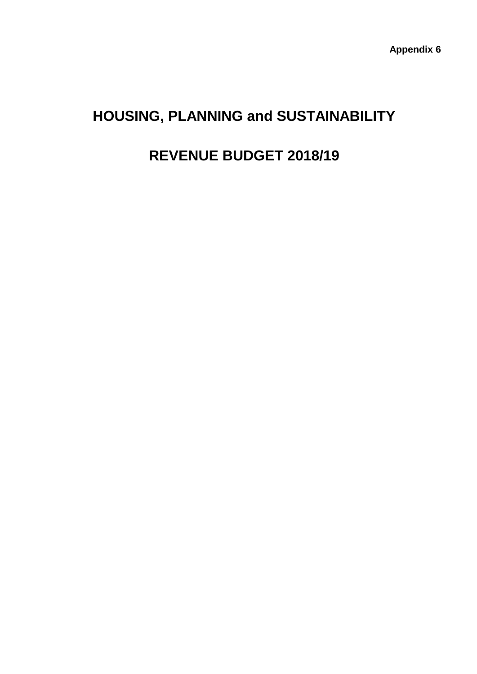# **HOUSING, PLANNING and SUSTAINABILITY**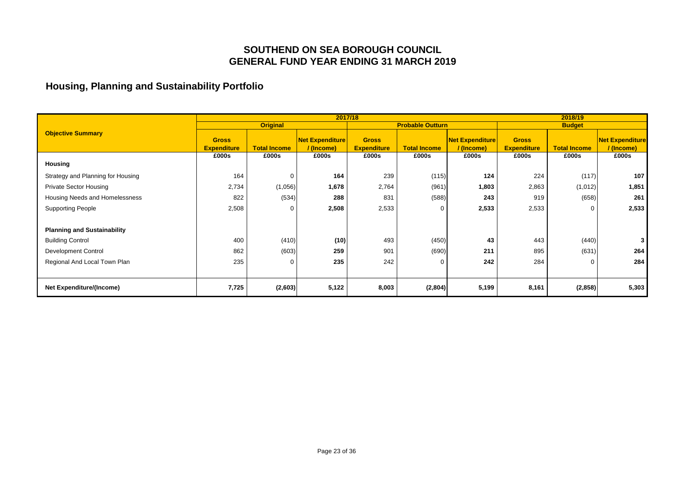### **Housing, Planning and Sustainability Portfolio**

|                                    |                                    |                     |                                      | 2017/18                            |                         |                                      |                                    | 2018/19             |                                      |  |
|------------------------------------|------------------------------------|---------------------|--------------------------------------|------------------------------------|-------------------------|--------------------------------------|------------------------------------|---------------------|--------------------------------------|--|
|                                    | <b>Original</b>                    |                     |                                      |                                    | <b>Probable Outturn</b> |                                      |                                    | <b>Budget</b>       |                                      |  |
| <b>Objective Summary</b>           | <b>Gross</b><br><b>Expenditure</b> | <b>Total Income</b> | <b>Net Expenditure</b><br>/ (Income) | <b>Gross</b><br><b>Expenditure</b> | <b>Total Income</b>     | <b>Net Expenditure</b><br>/ (Income) | <b>Gross</b><br><b>Expenditure</b> | <b>Total Income</b> | <b>Net Expenditure</b><br>/ (Income) |  |
|                                    | £000s                              | £000s               | £000s                                | £000s                              | £000s                   | £000s                                | £000s                              | £000s               | £000s                                |  |
| <b>Housing</b>                     |                                    |                     |                                      |                                    |                         |                                      |                                    |                     |                                      |  |
| Strategy and Planning for Housing  | 164                                | $\Omega$            | 164                                  | 239                                | (115)                   | 124                                  | 224                                | (117)               | 107                                  |  |
| <b>Private Sector Housing</b>      | 2,734                              | (1,056)             | 1,678                                | 2,764                              | (961)                   | 1,803                                | 2,863                              | (1,012)             | 1,851                                |  |
| Housing Needs and Homelessness     | 822                                | (534)               | 288                                  | 831                                | (588)                   | 243                                  | 919                                | (658)               | 261                                  |  |
| <b>Supporting People</b>           | 2,508                              | $\mathbf 0$         | 2,508                                | 2,533                              | $\Omega$                | 2,533                                | 2,533                              | 0                   | 2,533                                |  |
|                                    |                                    |                     |                                      |                                    |                         |                                      |                                    |                     |                                      |  |
| <b>Planning and Sustainability</b> |                                    |                     |                                      |                                    |                         |                                      |                                    |                     |                                      |  |
| <b>Building Control</b>            | 400                                | (410)               | (10)                                 | 493                                | (450)                   | 43                                   | 443                                | (440)               | 3                                    |  |
| Development Control                | 862                                | (603)               | 259                                  | 901                                | (690)                   | 211                                  | 895                                | (631)               | 264                                  |  |
| Regional And Local Town Plan       | 235                                | $\Omega$            | 235                                  | 242                                | 0                       | 242                                  | 284                                | 0                   | 284                                  |  |
|                                    |                                    |                     |                                      |                                    |                         |                                      |                                    |                     |                                      |  |
| <b>Net Expenditure/(Income)</b>    | 7,725                              | (2,603)             | 5,122                                | 8,003                              | (2,804)                 | 5,199                                | 8,161                              | (2,858)             | 5,303                                |  |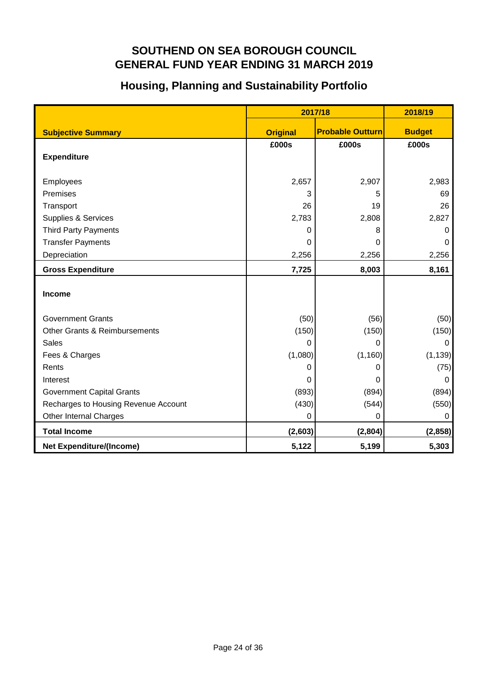## **Housing, Planning and Sustainability Portfolio**

|                                      | 2017/18         | 2018/19                 |               |
|--------------------------------------|-----------------|-------------------------|---------------|
| <b>Subjective Summary</b>            | <b>Original</b> | <b>Probable Outturn</b> | <b>Budget</b> |
|                                      | £000s           | £000s                   | £000s         |
| <b>Expenditure</b>                   |                 |                         |               |
|                                      |                 |                         |               |
| Employees                            | 2,657           | 2,907                   | 2,983         |
| Premises                             | 3               | 5                       | 69            |
| Transport                            | 26              | 19                      | 26            |
| Supplies & Services                  | 2,783           | 2,808                   | 2,827         |
| <b>Third Party Payments</b>          | 0               | 8                       | 0             |
| <b>Transfer Payments</b>             | 0               | 0                       | 0             |
| Depreciation                         | 2,256           | 2,256                   | 2,256         |
| <b>Gross Expenditure</b>             | 7,725           | 8,003                   | 8,161         |
|                                      |                 |                         |               |
| <b>Income</b>                        |                 |                         |               |
| <b>Government Grants</b>             | (50)            | (56)                    | (50)          |
| Other Grants & Reimbursements        | (150)           | (150)                   | (150)         |
| <b>Sales</b>                         | 0               | 0                       | 0             |
| Fees & Charges                       | (1,080)         | (1, 160)                | (1, 139)      |
| Rents                                | 0               | 0                       | (75)          |
| Interest                             | 0               | 0                       | 0             |
| <b>Government Capital Grants</b>     | (893)           | (894)                   | (894)         |
| Recharges to Housing Revenue Account | (430)           | (544)                   | (550)         |
| Other Internal Charges               | 0               | 0                       | 0             |
| <b>Total Income</b>                  | (2,603)         | (2,804)                 | (2,858)       |
| <b>Net Expenditure/(Income)</b>      | 5,122           | 5,199                   | 5,303         |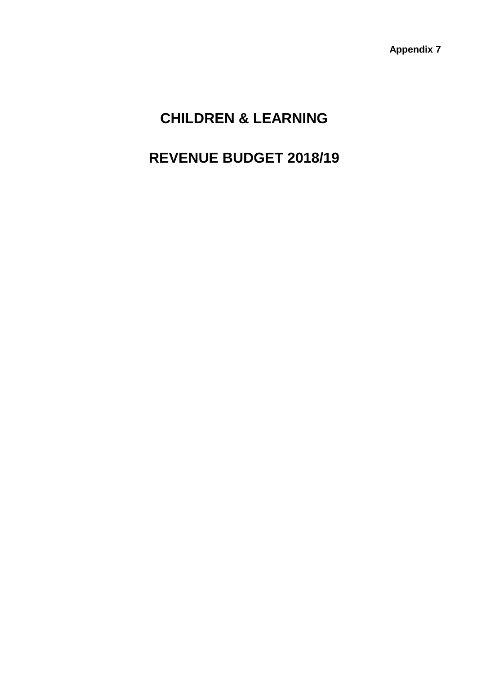# **CHILDREN & LEARNING**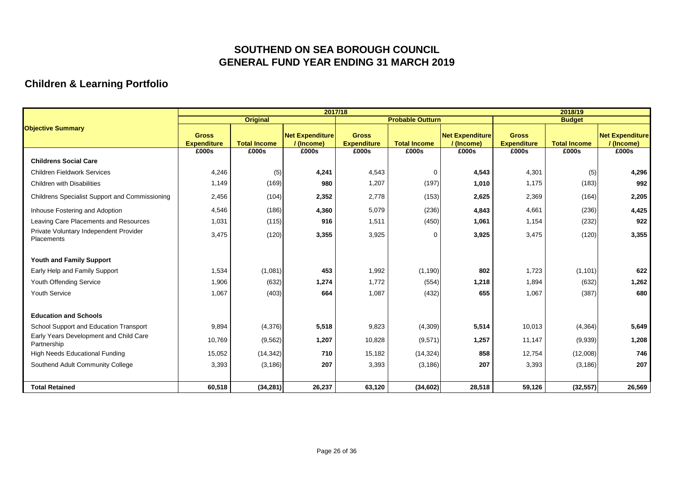### **Children & Learning Portfolio**

|                                                       | 2017/18                            |                     |                                     |                                    |                     |                                      |                                    | 2018/19             |                                      |  |  |
|-------------------------------------------------------|------------------------------------|---------------------|-------------------------------------|------------------------------------|---------------------|--------------------------------------|------------------------------------|---------------------|--------------------------------------|--|--|
|                                                       | <b>Original</b>                    |                     |                                     | <b>Probable Outturn</b>            |                     |                                      | <b>Budget</b>                      |                     |                                      |  |  |
| <b>Objective Summary</b>                              | <b>Gross</b><br><b>Expenditure</b> | <b>Total Income</b> | <b>Net Expenditure</b><br>/(Income) | <b>Gross</b><br><b>Expenditure</b> | <b>Total Income</b> | <b>Net Expenditure</b><br>/ (Income) | <b>Gross</b><br><b>Expenditure</b> | <b>Total Income</b> | <b>Net Expenditure</b><br>/ (Income) |  |  |
|                                                       | £000s                              | £000s               | E000s                               | £000s                              | £000s               | £000s                                | £000s                              | £000s               | £000s                                |  |  |
| <b>Childrens Social Care</b>                          |                                    |                     |                                     |                                    |                     |                                      |                                    |                     |                                      |  |  |
| <b>Children Fieldwork Services</b>                    | 4,246                              | (5)                 | 4,241                               | 4,543                              | $\mathbf 0$         | 4,543                                | 4,301                              | (5)                 | 4,296                                |  |  |
| <b>Children with Disabilities</b>                     | 1,149                              | (169)               | 980                                 | 1,207                              | (197)               | 1,010                                | 1,175                              | (183)               | 992                                  |  |  |
| Childrens Specialist Support and Commissioning        | 2,456                              | (104)               | 2,352                               | 2,778                              | (153)               | 2,625                                | 2,369                              | (164)               | 2,205                                |  |  |
| Inhouse Fostering and Adoption                        | 4,546                              | (186)               | 4,360                               | 5,079                              | (236)               | 4,843                                | 4,661                              | (236)               | 4,425                                |  |  |
| Leaving Care Placements and Resources                 | 1,031                              | (115)               | 916                                 | 1,511                              | (450)               | 1,061                                | 1,154                              | (232)               | 922                                  |  |  |
| Private Voluntary Independent Provider<br>Placements  | 3,475                              | (120)               | 3,355                               | 3,925                              | $\Omega$            | 3,925                                | 3,475                              | (120)               | 3,355                                |  |  |
| <b>Youth and Family Support</b>                       |                                    |                     |                                     |                                    |                     |                                      |                                    |                     |                                      |  |  |
| Early Help and Family Support                         | 1,534                              | (1,081)             | 453                                 | 1,992                              | (1, 190)            | 802                                  | 1,723                              | (1, 101)            | 622                                  |  |  |
| Youth Offending Service                               | 1,906                              | (632)               | 1,274                               | 1,772                              | (554)               | 1,218                                | 1,894                              | (632)               | 1,262                                |  |  |
| Youth Service                                         | 1,067                              | (403)               | 664                                 | 1,087                              | (432)               | 655                                  | 1,067                              | (387)               | 680                                  |  |  |
| <b>Education and Schools</b>                          |                                    |                     |                                     |                                    |                     |                                      |                                    |                     |                                      |  |  |
| School Support and Education Transport                | 9,894                              | (4,376)             | 5,518                               | 9,823                              | (4,309)             | 5,514                                | 10,013                             | (4, 364)            | 5,649                                |  |  |
| Early Years Development and Child Care<br>Partnership | 10,769                             | (9, 562)            | 1,207                               | 10,828                             | (9,571)             | 1,257                                | 11,147                             | (9,939)             | 1,208                                |  |  |
| High Needs Educational Funding                        | 15,052                             | (14, 342)           | 710                                 | 15,182                             | (14, 324)           | 858                                  | 12,754                             | (12,008)            | 746                                  |  |  |
| Southend Adult Community College                      | 3,393                              | (3, 186)            | 207                                 | 3,393                              | (3, 186)            | 207                                  | 3,393                              | (3, 186)            | 207                                  |  |  |
| <b>Total Retained</b>                                 | 60,518                             | (34, 281)           | 26,237                              | 63,120                             | (34, 602)           | 28,518                               | 59,126                             | (32, 557)           | 26,569                               |  |  |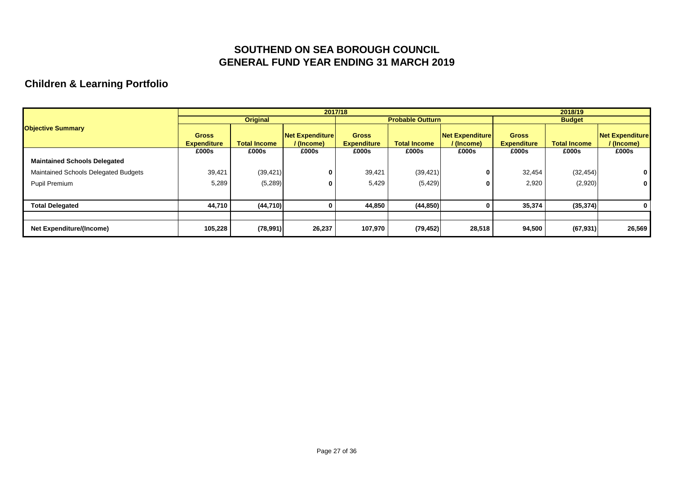### **Children & Learning Portfolio**

|                                      |                                    | 2017/18             |                                      |                                    |                     |                                      |                                    |                     | 2018/19                              |  |  |
|--------------------------------------|------------------------------------|---------------------|--------------------------------------|------------------------------------|---------------------|--------------------------------------|------------------------------------|---------------------|--------------------------------------|--|--|
|                                      | <b>Original</b>                    |                     |                                      | <b>Probable Outturn</b>            |                     |                                      | <b>Budget</b>                      |                     |                                      |  |  |
| <b>Objective Summary</b>             | <b>Gross</b><br><b>Expenditure</b> | <b>Total Income</b> | <b>Net Expenditure</b><br>/ (Income) | <b>Gross</b><br><b>Expenditure</b> | <b>Total Income</b> | <b>Net Expenditure</b><br>/ (Income) | <b>Gross</b><br><b>Expenditure</b> | <b>Total Income</b> | <b>Net Expenditure</b><br>/ (Income) |  |  |
|                                      | £000s                              | £000s               | £000s                                | £000s                              | £000s               | £000s                                | £000s                              | £000s               | £000s                                |  |  |
| <b>Maintained Schools Delegated</b>  |                                    |                     |                                      |                                    |                     |                                      |                                    |                     |                                      |  |  |
| Maintained Schools Delegated Budgets | 39,421                             | (39, 421)           | 0                                    | 39,421                             | (39, 421)           | $\bf{0}$                             | 32,454                             | (32, 454)           | 0                                    |  |  |
| Pupil Premium                        | 5,289                              | (5,289)             | 0                                    | 5,429                              | (5, 429)            | 0                                    | 2,920                              | (2,920)             | $\overline{0}$                       |  |  |
|                                      |                                    |                     |                                      |                                    |                     |                                      |                                    |                     |                                      |  |  |
| <b>Total Delegated</b>               | 44,710                             | (44, 710)           | $\mathbf{0}$                         | 44,850                             | (44, 850)           | $\bf{0}$                             | 35,374                             | (35, 374)           | $\mathbf{0}$                         |  |  |
|                                      |                                    |                     |                                      |                                    |                     |                                      |                                    |                     |                                      |  |  |
| Net Expenditure/(Income)             | 105,228                            | (78,991)            | 26,237                               | 107,970                            | (79, 452)           | 28,518                               | 94,500                             | (67, 931)           | 26,569                               |  |  |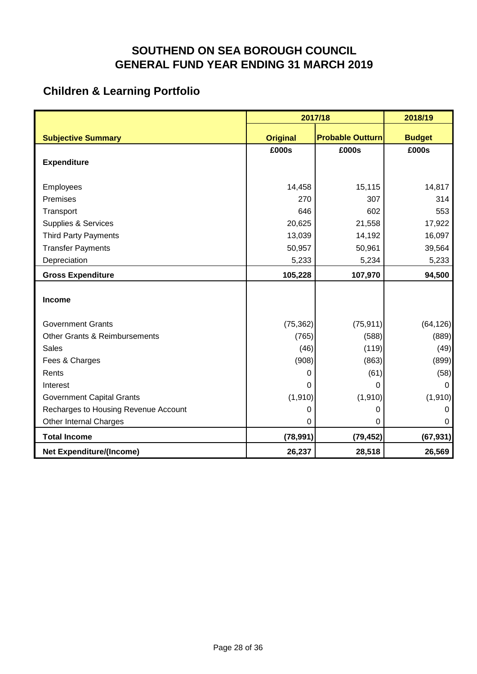## **Children & Learning Portfolio**

|                                      | 2017/18         | 2018/19                 |               |
|--------------------------------------|-----------------|-------------------------|---------------|
| <b>Subjective Summary</b>            | <b>Original</b> | <b>Probable Outturn</b> | <b>Budget</b> |
|                                      | £000s           | £000s                   | £000s         |
| <b>Expenditure</b>                   |                 |                         |               |
|                                      |                 |                         |               |
| Employees                            | 14,458          | 15,115                  | 14,817        |
| Premises                             | 270             | 307                     | 314           |
| Transport                            | 646             | 602                     | 553           |
| Supplies & Services                  | 20,625          | 21,558                  | 17,922        |
| <b>Third Party Payments</b>          | 13,039          | 14,192                  | 16,097        |
| <b>Transfer Payments</b>             | 50,957          | 50,961                  | 39,564        |
| Depreciation                         | 5,233           | 5,234                   | 5,233         |
| <b>Gross Expenditure</b>             | 105,228         | 107,970                 | 94,500        |
| Income                               |                 |                         |               |
| <b>Government Grants</b>             | (75, 362)       | (75, 911)               | (64, 126)     |
| Other Grants & Reimbursements        | (765)           | (588)                   | (889)         |
| <b>Sales</b>                         | (46)            | (119)                   | (49)          |
| Fees & Charges                       | (908)           | (863)                   | (899)         |
| Rents                                | 0               | (61)                    | (58)          |
| Interest                             | 0               | 0                       | 0             |
| <b>Government Capital Grants</b>     | (1,910)         | (1, 910)                | (1,910)       |
| Recharges to Housing Revenue Account | 0               | 0                       | $\Omega$      |
| Other Internal Charges               | 0               | 0                       | 0             |
| <b>Total Income</b>                  | (78, 991)       | (79, 452)               | (67, 931)     |
| <b>Net Expenditure/(Income)</b>      | 26,237          | 28,518                  | 26,569        |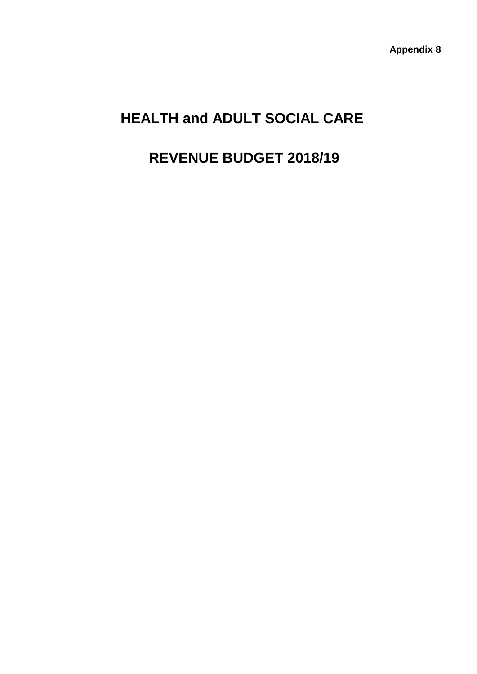# **HEALTH and ADULT SOCIAL CARE**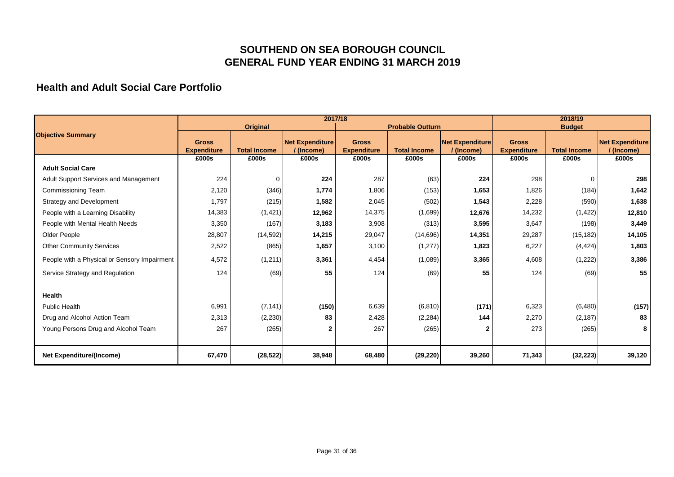### **Health and Adult Social Care Portfolio**

|                                              | 2017/18                            |                     |                                      |                                    |                     |                                     |                                    | 2018/19             |                                     |
|----------------------------------------------|------------------------------------|---------------------|--------------------------------------|------------------------------------|---------------------|-------------------------------------|------------------------------------|---------------------|-------------------------------------|
|                                              | <b>Original</b>                    |                     |                                      | <b>Probable Outturn</b>            |                     |                                     | <b>Budget</b>                      |                     |                                     |
| <b>Objective Summary</b>                     | <b>Gross</b><br><b>Expenditure</b> | <b>Total Income</b> | <b>Net Expenditure</b><br>/ (Income) | <b>Gross</b><br><b>Expenditure</b> | <b>Total Income</b> | <b>Net Expenditure</b><br>/(Income) | <b>Gross</b><br><b>Expenditure</b> | <b>Total Income</b> | <b>Net Expenditure</b><br>/(Income) |
|                                              | £000s                              | £000s               | £000s                                | £000s                              | £000s               | £000s                               | £000s                              | £000s               | £000s                               |
| <b>Adult Social Care</b>                     |                                    |                     |                                      |                                    |                     |                                     |                                    |                     |                                     |
| <b>Adult Support Services and Management</b> | 224                                | 0                   | 224                                  | 287                                | (63)                | 224                                 | 298                                | $\Omega$            | 298                                 |
| <b>Commissioning Team</b>                    | 2,120                              | (346)               | 1,774                                | 1,806                              | (153)               | 1,653                               | 1,826                              | (184)               | 1,642                               |
| <b>Strategy and Development</b>              | 1,797                              | (215)               | 1,582                                | 2,045                              | (502)               | 1,543                               | 2,228                              | (590)               | 1,638                               |
| People with a Learning Disability            | 14,383                             | (1, 421)            | 12,962                               | 14,375                             | (1,699)             | 12,676                              | 14,232                             | (1, 422)            | 12,810                              |
| People with Mental Health Needs              | 3,350                              | (167)               | 3,183                                | 3,908                              | (313)               | 3,595                               | 3,647                              | (198)               | 3,449                               |
| Older People                                 | 28,807                             | (14, 592)           | 14,215                               | 29,047                             | (14, 696)           | 14,351                              | 29,287                             | (15, 182)           | 14,105                              |
| <b>Other Community Services</b>              | 2,522                              | (865)               | 1,657                                | 3,100                              | (1, 277)            | 1,823                               | 6,227                              | (4, 424)            | 1,803                               |
| People with a Physical or Sensory Impairment | 4,572                              | (1, 211)            | 3,361                                | 4,454                              | (1,089)             | 3,365                               | 4,608                              | (1, 222)            | 3,386                               |
| Service Strategy and Regulation              | 124                                | (69)                | 55                                   | 124                                | (69)                | 55                                  | 124                                | (69)                | 55                                  |
| Health                                       |                                    |                     |                                      |                                    |                     |                                     |                                    |                     |                                     |
|                                              |                                    |                     |                                      |                                    |                     |                                     |                                    |                     |                                     |
| <b>Public Health</b>                         | 6,991                              | (7, 141)            | (150)                                | 6,639                              | (6, 810)            | (171)                               | 6,323                              | (6,480)             | (157)                               |
| Drug and Alcohol Action Team                 | 2,313                              | (2, 230)            | 83                                   | 2,428                              | (2, 284)            | 144                                 | 2,270                              | (2, 187)            | 83                                  |
| Young Persons Drug and Alcohol Team          | 267                                | (265)               | 2                                    | 267                                | (265)               | 2                                   | 273                                | (265)               | 8                                   |
|                                              |                                    |                     |                                      |                                    |                     |                                     |                                    |                     |                                     |
| <b>Net Expenditure/(Income)</b>              | 67,470                             | (28, 522)           | 38,948                               | 68,480                             | (29, 220)           | 39,260                              | 71,343                             | (32, 223)           | 39,120                              |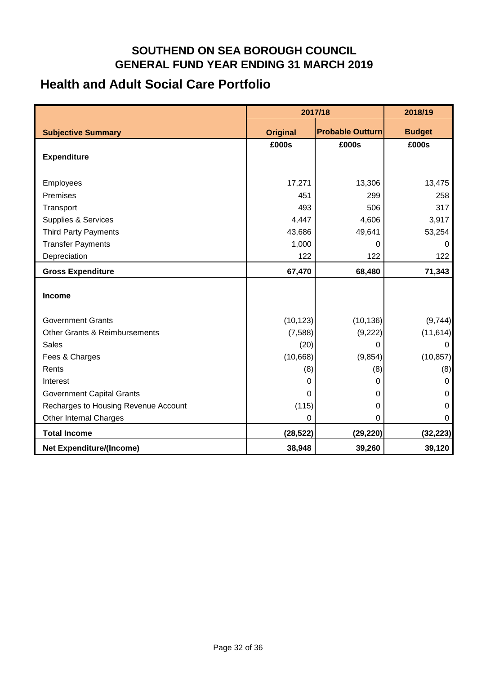## **Health and Adult Social Care Portfolio**

|                                          | 2017/18         | 2018/19                 |               |
|------------------------------------------|-----------------|-------------------------|---------------|
| <b>Subjective Summary</b>                | <b>Original</b> | <b>Probable Outturn</b> | <b>Budget</b> |
|                                          | £000s           | £000s                   | £000s         |
| <b>Expenditure</b>                       |                 |                         |               |
|                                          |                 |                         |               |
| Employees                                | 17,271          | 13,306                  | 13,475        |
| Premises                                 | 451             | 299                     | 258           |
| Transport                                | 493             | 506                     | 317           |
| <b>Supplies &amp; Services</b>           | 4,447           | 4,606                   | 3,917         |
| <b>Third Party Payments</b>              | 43,686          | 49,641                  | 53,254        |
| <b>Transfer Payments</b>                 | 1,000           | 0                       | 0             |
| Depreciation                             | 122             | 122                     | 122           |
| <b>Gross Expenditure</b>                 | 67,470          | 68,480                  | 71,343        |
|                                          |                 |                         |               |
| <b>Income</b>                            |                 |                         |               |
|                                          |                 |                         |               |
| <b>Government Grants</b>                 | (10, 123)       | (10, 136)               | (9,744)       |
| <b>Other Grants &amp; Reimbursements</b> | (7, 588)        | (9,222)                 | (11, 614)     |
| <b>Sales</b>                             | (20)            | 0                       | 0             |
| Fees & Charges                           | (10, 668)       | (9, 854)                | (10, 857)     |
| Rents                                    | (8)             | (8)                     | (8)           |
| Interest                                 | 0               | 0                       | $\Omega$      |
| <b>Government Capital Grants</b>         | 0               | 0                       | 0             |
| Recharges to Housing Revenue Account     | (115)           | 0                       | 0             |
| Other Internal Charges                   | 0               | 0                       | 0             |
| <b>Total Income</b>                      | (28, 522)       | (29, 220)               | (32, 223)     |
| <b>Net Expenditure/(Income)</b>          | 38,948          | 39,260                  | 39,120        |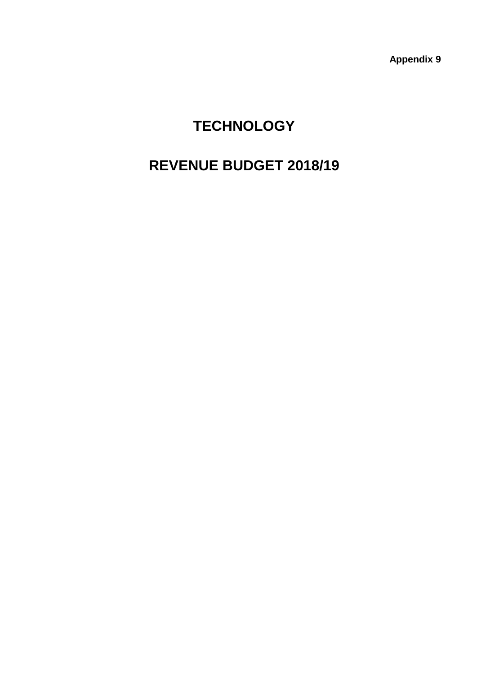# **TECHNOLOGY**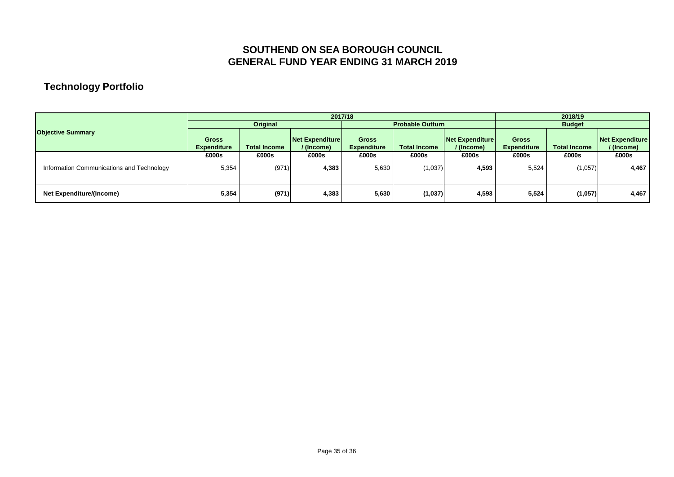## **Technology Portfolio**

|                                           | 2017/18                            |                     |                               |                                    |                         |                             |                                    | 2018/19             |                                      |  |  |
|-------------------------------------------|------------------------------------|---------------------|-------------------------------|------------------------------------|-------------------------|-----------------------------|------------------------------------|---------------------|--------------------------------------|--|--|
|                                           |                                    | <b>Original</b>     |                               |                                    | <b>Probable Outturn</b> |                             |                                    | <b>Budget</b>       |                                      |  |  |
| <b>Objective Summary</b>                  | <b>Gross</b><br><b>Expenditure</b> | <b>Total Income</b> | Net Expenditure<br>/ (Income) | <b>Gross</b><br><b>Expenditure</b> | <b>Total Income</b>     | Net Expenditure<br>(Income) | <b>Gross</b><br><b>Expenditure</b> | <b>Total Income</b> | <b>Net Expenditure</b><br>/ (Income) |  |  |
|                                           | £000s                              | £000s               | £000s                         | £000s                              | £000s                   | £000s                       | £000s                              | £000s               | £000s                                |  |  |
| Information Communications and Technology | 5,354                              | (971)               | 4,383                         | 5,630                              | (1,037)                 | 4,593                       | 5,524                              | (1,057)             | 4,467                                |  |  |
| <b>Net Expenditure/(Income)</b>           | 5,354                              | (971)               | 4,383                         | 5,630                              | (1,037)                 | 4,593                       | 5,524                              | (1,057)             | 4,467                                |  |  |